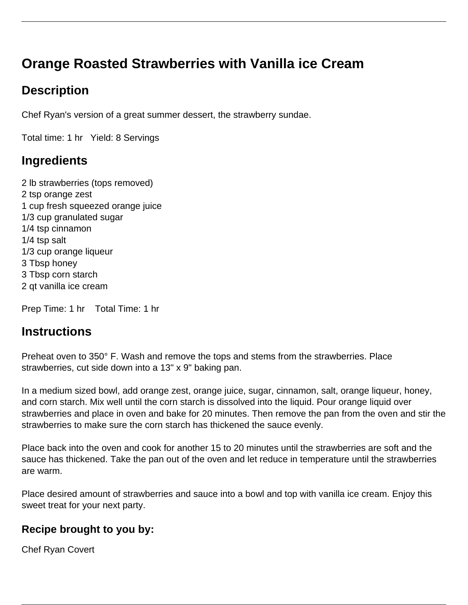# **Orange Roasted Strawberries with Vanilla ice Cream**

## **Description**

Chef Ryan's version of a great summer dessert, the strawberry sundae.

Total time: 1 hr Yield: 8 Servings

### **Ingredients**

2 lb strawberries (tops removed) 2 tsp orange zest 1 cup fresh squeezed orange juice 1/3 cup granulated sugar 1/4 tsp cinnamon 1/4 tsp salt 1/3 cup orange liqueur 3 Tbsp honey 3 Tbsp corn starch 2 qt vanilla ice cream

Prep Time: 1 hr Total Time: 1 hr

#### **Instructions**

Preheat oven to 350° F. Wash and remove the tops and stems from the strawberries. Place strawberries, cut side down into a 13" x 9" baking pan.

In a medium sized bowl, add orange zest, orange juice, sugar, cinnamon, salt, orange liqueur, honey, and corn starch. Mix well until the corn starch is dissolved into the liquid. Pour orange liquid over strawberries and place in oven and bake for 20 minutes. Then remove the pan from the oven and stir the strawberries to make sure the corn starch has thickened the sauce evenly.

Place back into the oven and cook for another 15 to 20 minutes until the strawberries are soft and the sauce has thickened. Take the pan out of the oven and let reduce in temperature until the strawberries are warm.

Place desired amount of strawberries and sauce into a bowl and top with vanilla ice cream. Enjoy this sweet treat for your next party.

#### **Recipe brought to you by:**

Chef Ryan Covert